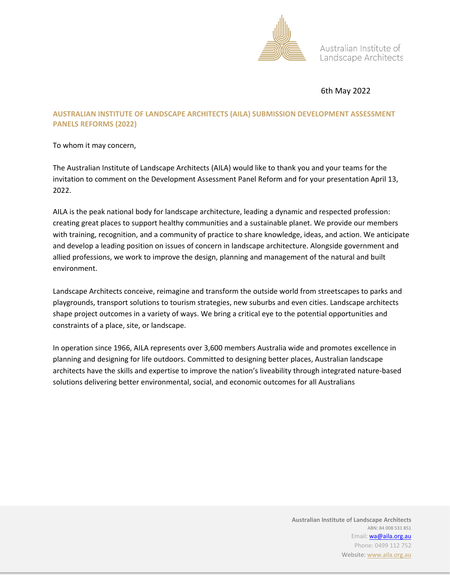

Australian Institute of Landscape Architects

## 6th May 2022

### **AUSTRALIAN INSTITUTE OF LANDSCAPE ARCHITECTS (AILA) SUBMISSION DEVELOPMENT ASSESSMENT PANELS REFORMS (2022)**

To whom it may concern,

The Australian Institute of Landscape Architects (AILA) would like to thank you and your teams for the invitation to comment on the Development Assessment Panel Reform and for your presentation April 13, 2022.

AILA is the peak national body for landscape architecture, leading a dynamic and respected profession: creating great places to support healthy communities and a sustainable planet. We provide our members with training, recognition, and a community of practice to share knowledge, ideas, and action. We anticipate and develop a leading position on issues of concern in landscape architecture. Alongside government and allied professions, we work to improve the design, planning and management of the natural and built environment.

Landscape Architects conceive, reimagine and transform the outside world from streetscapes to parks and playgrounds, transport solutions to tourism strategies, new suburbs and even cities. Landscape architects shape project outcomes in a variety of ways. We bring a critical eye to the potential opportunities and constraints of a place, site, or landscape.

In operation since 1966, AILA represents over 3,600 members Australia wide and promotes excellence in planning and designing for life outdoors. Committed to designing better places, Australian landscape architects have the skills and expertise to improve the nation's liveability through integrated nature-based solutions delivering better environmental, social, and economic outcomes for all Australians

> **Australian Institute of Landscape Architects** ABN: 84 008 531 851 Email: **wa@aila.org.au** Phone: 0499 112 752 Website: www.aila.org.au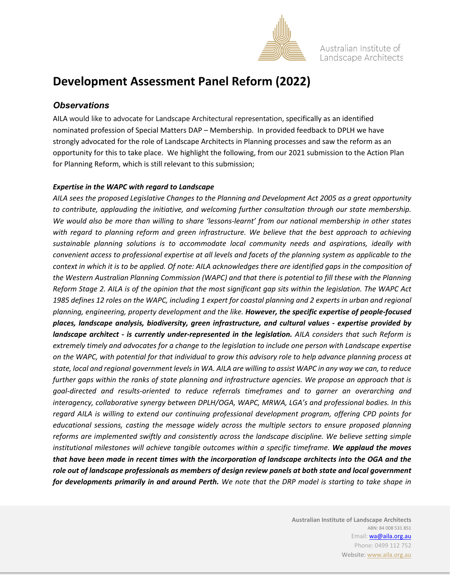

Australian Institute of Landscape Architects

# **Development Assessment Panel Reform (2022)**

## *Observations*

AILA would like to advocate for Landscape Architectural representation, specifically as an identified nominated profession of Special Matters DAP – Membership. In provided feedback to DPLH we have strongly advocated for the role of Landscape Architects in Planning processes and saw the reform as an opportunity for this to take place. We highlight the following, from our 2021 submission to the Action Plan for Planning Reform, which is still relevant to this submission;

#### *Expertise in the WAPC with regard to Landscape*

*AILA sees the proposed Legislative Changes to the Planning and Development Act 2005 as a great opportunity to contribute, applauding the initiative, and welcoming further consultation through our state membership. We would also be more than willing to share 'lessons-learnt' from our national membership in other states with regard to planning reform and green infrastructure. We believe that the best approach to achieving sustainable planning solutions is to accommodate local community needs and aspirations, ideally with convenient access to professional expertise at all levels and facets of the planning system as applicable to the context in which it is to be applied. Of note: AILA acknowledges there are identified gaps in the composition of the Western Australian Planning Commission (WAPC) and that there is potential to fill these with the Planning Reform Stage 2. AILA is of the opinion that the most significant gap sits within the legislation. The WAPC Act*  1985 defines 12 roles on the WAPC, including 1 expert for coastal planning and 2 experts in urban and regional *planning, engineering, property development and the like. However, the specific expertise of people-focused places, landscape analysis, biodiversity, green infrastructure, and cultural values - expertise provided by landscape architect - is currently under-represented in the legislation. AILA considers that such Reform is extremely timely and advocates for a change to the legislation to include one person with Landscape expertise on the WAPC, with potential for that individual to grow this advisory role to help advance planning process at state, local and regional government levels in WA. AILA are willing to assist WAPC in any way we can, to reduce further gaps within the ranks of state planning and infrastructure agencies. We propose an approach that is goal-directed and results-oriented to reduce referrals timeframes and to garner an overarching and interagency, collaborative synergy between DPLH/OGA, WAPC, MRWA, LGA's and professional bodies. In this regard AILA is willing to extend our continuing professional development program, offering CPD points for educational sessions, casting the message widely across the multiple sectors to ensure proposed planning reforms are implemented swiftly and consistently across the landscape discipline. We believe setting simple institutional milestones will achieve tangible outcomes within a specific timeframe. We applaud the moves that have been made in recent times with the incorporation of landscape architects into the OGA and the role out of landscape professionals as members of design review panels at both state and local government for developments primarily in and around Perth. We note that the DRP model is starting to take shape in*